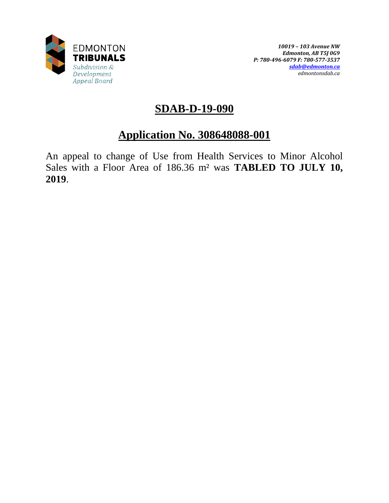

# **SDAB-D-19-090**

# **Application No. 308648088-001**

An appeal to change of Use from Health Services to Minor Alcohol Sales with a Floor Area of 186.36 m² was **TABLED TO JULY 10, 2019**.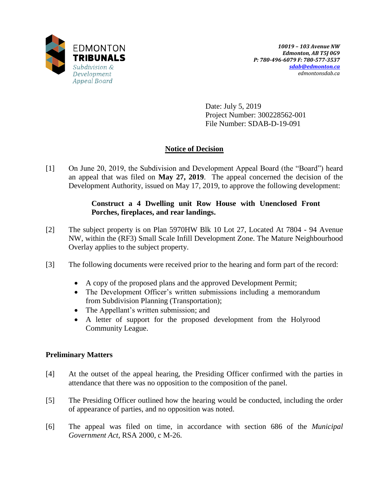

Date: July 5, 2019 Project Number: 300228562-001 File Number: SDAB-D-19-091

# **Notice of Decision**

[1] On June 20, 2019, the Subdivision and Development Appeal Board (the "Board") heard an appeal that was filed on **May 27, 2019**. The appeal concerned the decision of the Development Authority, issued on May 17, 2019, to approve the following development:

# **Construct a 4 Dwelling unit Row House with Unenclosed Front Porches, fireplaces, and rear landings.**

- [2] The subject property is on Plan 5970HW Blk 10 Lot 27, Located At 7804 94 Avenue NW, within the (RF3) Small Scale Infill Development Zone. The Mature Neighbourhood Overlay applies to the subject property.
- [3] The following documents were received prior to the hearing and form part of the record:
	- A copy of the proposed plans and the approved Development Permit;
	- The Development Officer's written submissions including a memorandum from Subdivision Planning (Transportation);
	- The Appellant's written submission; and
	- A letter of support for the proposed development from the Holyrood Community League.

# **Preliminary Matters**

- [4] At the outset of the appeal hearing, the Presiding Officer confirmed with the parties in attendance that there was no opposition to the composition of the panel.
- [5] The Presiding Officer outlined how the hearing would be conducted, including the order of appearance of parties, and no opposition was noted.
- [6] The appeal was filed on time, in accordance with section 686 of the *Municipal Government Act*, RSA 2000, c M-26.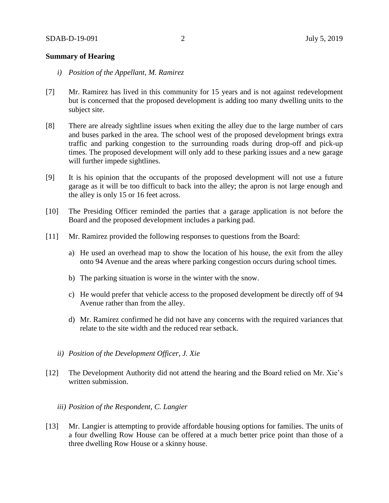## **Summary of Hearing**

- *i) Position of the Appellant, M. Ramirez*
- [7] Mr. Ramirez has lived in this community for 15 years and is not against redevelopment but is concerned that the proposed development is adding too many dwelling units to the subject site.
- [8] There are already sightline issues when exiting the alley due to the large number of cars and buses parked in the area. The school west of the proposed development brings extra traffic and parking congestion to the surrounding roads during drop-off and pick-up times. The proposed development will only add to these parking issues and a new garage will further impede sightlines.
- [9] It is his opinion that the occupants of the proposed development will not use a future garage as it will be too difficult to back into the alley; the apron is not large enough and the alley is only 15 or 16 feet across.
- [10] The Presiding Officer reminded the parties that a garage application is not before the Board and the proposed development includes a parking pad.
- [11] Mr. Ramirez provided the following responses to questions from the Board:
	- a) He used an overhead map to show the location of his house, the exit from the alley onto 94 Avenue and the areas where parking congestion occurs during school times.
	- b) The parking situation is worse in the winter with the snow.
	- c) He would prefer that vehicle access to the proposed development be directly off of 94 Avenue rather than from the alley.
	- d) Mr. Ramirez confirmed he did not have any concerns with the required variances that relate to the site width and the reduced rear setback.
	- *ii) Position of the Development Officer, J. Xie*
- [12] The Development Authority did not attend the hearing and the Board relied on Mr. Xie's written submission.

## *iii) Position of the Respondent, C. Langier*

[13] Mr. Langier is attempting to provide affordable housing options for families. The units of a four dwelling Row House can be offered at a much better price point than those of a three dwelling Row House or a skinny house.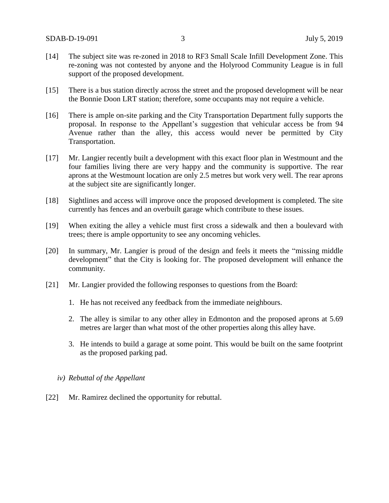- [14] The subject site was re-zoned in 2018 to RF3 Small Scale Infill Development Zone. This re-zoning was not contested by anyone and the Holyrood Community League is in full support of the proposed development.
- [15] There is a bus station directly across the street and the proposed development will be near the Bonnie Doon LRT station; therefore, some occupants may not require a vehicle.
- [16] There is ample on-site parking and the City Transportation Department fully supports the proposal. In response to the Appellant's suggestion that vehicular access be from 94 Avenue rather than the alley, this access would never be permitted by City Transportation.
- [17] Mr. Langier recently built a development with this exact floor plan in Westmount and the four families living there are very happy and the community is supportive. The rear aprons at the Westmount location are only 2.5 metres but work very well. The rear aprons at the subject site are significantly longer.
- [18] Sightlines and access will improve once the proposed development is completed. The site currently has fences and an overbuilt garage which contribute to these issues.
- [19] When exiting the alley a vehicle must first cross a sidewalk and then a boulevard with trees; there is ample opportunity to see any oncoming vehicles.
- [20] In summary, Mr. Langier is proud of the design and feels it meets the "missing middle development" that the City is looking for. The proposed development will enhance the community.
- [21] Mr. Langier provided the following responses to questions from the Board:
	- 1. He has not received any feedback from the immediate neighbours.
	- 2. The alley is similar to any other alley in Edmonton and the proposed aprons at 5.69 metres are larger than what most of the other properties along this alley have.
	- 3. He intends to build a garage at some point. This would be built on the same footprint as the proposed parking pad.
	- *iv) Rebuttal of the Appellant*
- [22] Mr. Ramirez declined the opportunity for rebuttal.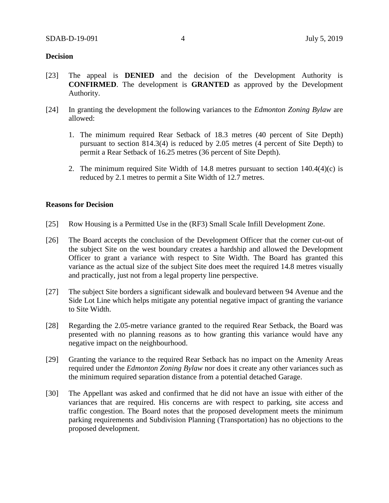## **Decision**

- [23] The appeal is **DENIED** and the decision of the Development Authority is **CONFIRMED**. The development is **GRANTED** as approved by the Development Authority.
- [24] In granting the development the following variances to the *Edmonton Zoning Bylaw* are allowed:
	- 1. The minimum required Rear Setback of 18.3 metres (40 percent of Site Depth) pursuant to section 814.3(4) is reduced by 2.05 metres (4 percent of Site Depth) to permit a Rear Setback of 16.25 metres (36 percent of Site Depth).
	- 2. The minimum required Site Width of 14.8 metres pursuant to section 140.4(4)(c) is reduced by 2.1 metres to permit a Site Width of 12.7 metres.

#### **Reasons for Decision**

- [25] Row Housing is a Permitted Use in the (RF3) Small Scale Infill Development Zone.
- [26] The Board accepts the conclusion of the Development Officer that the corner cut-out of the subject Site on the west boundary creates a hardship and allowed the Development Officer to grant a variance with respect to Site Width. The Board has granted this variance as the actual size of the subject Site does meet the required 14.8 metres visually and practically, just not from a legal property line perspective.
- [27] The subject Site borders a significant sidewalk and boulevard between 94 Avenue and the Side Lot Line which helps mitigate any potential negative impact of granting the variance to Site Width.
- [28] Regarding the 2.05-metre variance granted to the required Rear Setback, the Board was presented with no planning reasons as to how granting this variance would have any negative impact on the neighbourhood.
- [29] Granting the variance to the required Rear Setback has no impact on the Amenity Areas required under the *Edmonton Zoning Bylaw* nor does it create any other variances such as the minimum required separation distance from a potential detached Garage.
- [30] The Appellant was asked and confirmed that he did not have an issue with either of the variances that are required. His concerns are with respect to parking, site access and traffic congestion. The Board notes that the proposed development meets the minimum parking requirements and Subdivision Planning (Transportation) has no objections to the proposed development.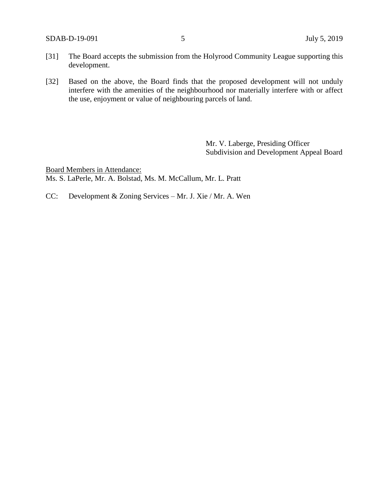- [31] The Board accepts the submission from the Holyrood Community League supporting this development.
- [32] Based on the above, the Board finds that the proposed development will not unduly interfere with the amenities of the neighbourhood nor materially interfere with or affect the use, enjoyment or value of neighbouring parcels of land.

Mr. V. Laberge, Presiding Officer Subdivision and Development Appeal Board

Board Members in Attendance: Ms. S. LaPerle, Mr. A. Bolstad, Ms. M. McCallum, Mr. L. Pratt

CC: Development & Zoning Services – Mr. J. Xie / Mr. A. Wen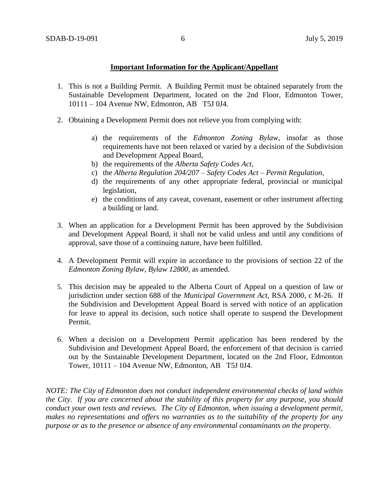## **Important Information for the Applicant/Appellant**

- 1. This is not a Building Permit. A Building Permit must be obtained separately from the Sustainable Development Department, located on the 2nd Floor, Edmonton Tower, 10111 – 104 Avenue NW, Edmonton, AB T5J 0J4.
- 2. Obtaining a Development Permit does not relieve you from complying with:
	- a) the requirements of the *Edmonton Zoning Bylaw*, insofar as those requirements have not been relaxed or varied by a decision of the Subdivision and Development Appeal Board,
	- b) the requirements of the *Alberta Safety Codes Act*,
	- c) the *Alberta Regulation 204/207 – Safety Codes Act – Permit Regulation*,
	- d) the requirements of any other appropriate federal, provincial or municipal legislation,
	- e) the conditions of any caveat, covenant, easement or other instrument affecting a building or land.
- 3. When an application for a Development Permit has been approved by the Subdivision and Development Appeal Board, it shall not be valid unless and until any conditions of approval, save those of a continuing nature, have been fulfilled.
- 4. A Development Permit will expire in accordance to the provisions of section 22 of the *Edmonton Zoning Bylaw, Bylaw 12800*, as amended.
- 5. This decision may be appealed to the Alberta Court of Appeal on a question of law or jurisdiction under section 688 of the *Municipal Government Act*, RSA 2000, c M-26. If the Subdivision and Development Appeal Board is served with notice of an application for leave to appeal its decision, such notice shall operate to suspend the Development Permit.
- 6. When a decision on a Development Permit application has been rendered by the Subdivision and Development Appeal Board, the enforcement of that decision is carried out by the Sustainable Development Department, located on the 2nd Floor, Edmonton Tower, 10111 – 104 Avenue NW, Edmonton, AB T5J 0J4.

*NOTE: The City of Edmonton does not conduct independent environmental checks of land within the City. If you are concerned about the stability of this property for any purpose, you should conduct your own tests and reviews. The City of Edmonton, when issuing a development permit, makes no representations and offers no warranties as to the suitability of the property for any purpose or as to the presence or absence of any environmental contaminants on the property.*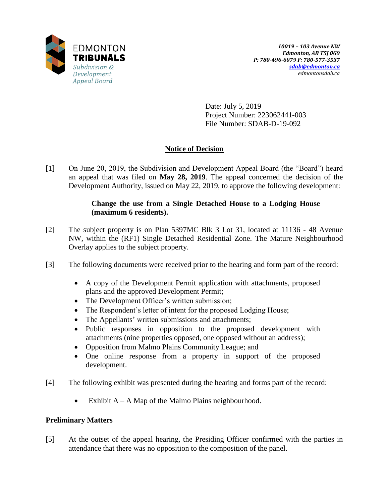

Date: July 5, 2019 Project Number: 223062441-003 File Number: SDAB-D-19-092

# **Notice of Decision**

[1] On June 20, 2019, the Subdivision and Development Appeal Board (the "Board") heard an appeal that was filed on **May 28, 2019**. The appeal concerned the decision of the Development Authority, issued on May 22, 2019, to approve the following development:

# **Change the use from a Single Detached House to a Lodging House (maximum 6 residents).**

- [2] The subject property is on Plan 5397MC Blk 3 Lot 31, located at 11136 48 Avenue NW, within the (RF1) Single Detached Residential Zone. The Mature Neighbourhood Overlay applies to the subject property.
- [3] The following documents were received prior to the hearing and form part of the record:
	- A copy of the Development Permit application with attachments, proposed plans and the approved Development Permit;
	- The Development Officer's written submission;
	- The Respondent's letter of intent for the proposed Lodging House;
	- The Appellants' written submissions and attachments;
	- Public responses in opposition to the proposed development with attachments (nine properties opposed, one opposed without an address);
	- Opposition from Malmo Plains Community League; and
	- One online response from a property in support of the proposed development.
- [4] The following exhibit was presented during the hearing and forms part of the record:
	- Exhibit  $A A$  Map of the Malmo Plains neighbourhood.

# **Preliminary Matters**

[5] At the outset of the appeal hearing, the Presiding Officer confirmed with the parties in attendance that there was no opposition to the composition of the panel.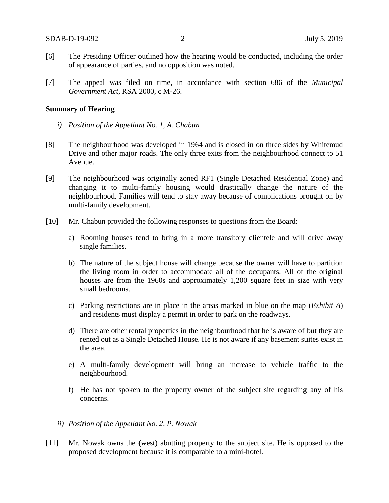- [6] The Presiding Officer outlined how the hearing would be conducted, including the order of appearance of parties, and no opposition was noted.
- [7] The appeal was filed on time, in accordance with section 686 of the *Municipal Government Act*, RSA 2000, c M-26.

#### **Summary of Hearing**

- *i) Position of the Appellant No. 1, A. Chabun*
- [8] The neighbourhood was developed in 1964 and is closed in on three sides by Whitemud Drive and other major roads. The only three exits from the neighbourhood connect to 51 Avenue.
- [9] The neighbourhood was originally zoned RF1 (Single Detached Residential Zone) and changing it to multi-family housing would drastically change the nature of the neighbourhood. Families will tend to stay away because of complications brought on by multi-family development.
- [10] Mr. Chabun provided the following responses to questions from the Board:
	- a) Rooming houses tend to bring in a more transitory clientele and will drive away single families.
	- b) The nature of the subject house will change because the owner will have to partition the living room in order to accommodate all of the occupants. All of the original houses are from the 1960s and approximately 1,200 square feet in size with very small bedrooms.
	- c) Parking restrictions are in place in the areas marked in blue on the map (*Exhibit A*) and residents must display a permit in order to park on the roadways.
	- d) There are other rental properties in the neighbourhood that he is aware of but they are rented out as a Single Detached House. He is not aware if any basement suites exist in the area.
	- e) A multi-family development will bring an increase to vehicle traffic to the neighbourhood.
	- f) He has not spoken to the property owner of the subject site regarding any of his concerns.
	- *ii) Position of the Appellant No. 2, P. Nowak*
- [11] Mr. Nowak owns the (west) abutting property to the subject site. He is opposed to the proposed development because it is comparable to a mini-hotel.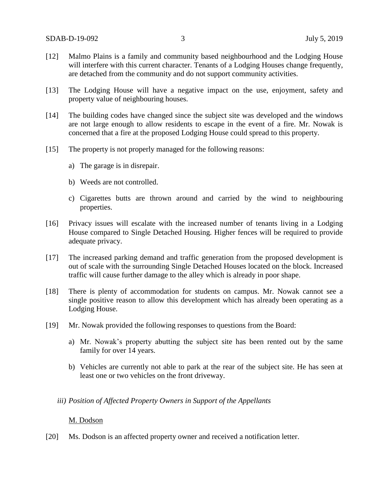- [12] Malmo Plains is a family and community based neighbourhood and the Lodging House will interfere with this current character. Tenants of a Lodging Houses change frequently, are detached from the community and do not support community activities.
- [13] The Lodging House will have a negative impact on the use, enjoyment, safety and property value of neighbouring houses.
- [14] The building codes have changed since the subject site was developed and the windows are not large enough to allow residents to escape in the event of a fire. Mr. Nowak is concerned that a fire at the proposed Lodging House could spread to this property.
- [15] The property is not properly managed for the following reasons:
	- a) The garage is in disrepair.
	- b) Weeds are not controlled.
	- c) Cigarettes butts are thrown around and carried by the wind to neighbouring properties.
- [16] Privacy issues will escalate with the increased number of tenants living in a Lodging House compared to Single Detached Housing. Higher fences will be required to provide adequate privacy.
- [17] The increased parking demand and traffic generation from the proposed development is out of scale with the surrounding Single Detached Houses located on the block. Increased traffic will cause further damage to the alley which is already in poor shape.
- [18] There is plenty of accommodation for students on campus. Mr. Nowak cannot see a single positive reason to allow this development which has already been operating as a Lodging House.
- [19] Mr. Nowak provided the following responses to questions from the Board:
	- a) Mr. Nowak's property abutting the subject site has been rented out by the same family for over 14 years.
	- b) Vehicles are currently not able to park at the rear of the subject site. He has seen at least one or two vehicles on the front driveway.

## *iii) Position of Affected Property Owners in Support of the Appellants*

#### M. Dodson

[20] Ms. Dodson is an affected property owner and received a notification letter.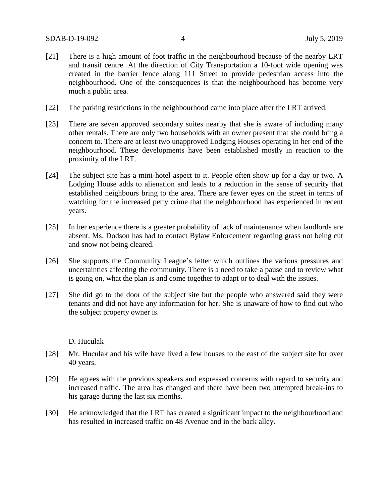- [21] There is a high amount of foot traffic in the neighbourhood because of the nearby LRT and transit centre. At the direction of City Transportation a 10-foot wide opening was created in the barrier fence along 111 Street to provide pedestrian access into the neighbourhood. One of the consequences is that the neighbourhood has become very much a public area.
- [22] The parking restrictions in the neighbourhood came into place after the LRT arrived.
- [23] There are seven approved secondary suites nearby that she is aware of including many other rentals. There are only two households with an owner present that she could bring a concern to. There are at least two unapproved Lodging Houses operating in her end of the neighbourhood. These developments have been established mostly in reaction to the proximity of the LRT.
- [24] The subject site has a mini-hotel aspect to it. People often show up for a day or two. A Lodging House adds to alienation and leads to a reduction in the sense of security that established neighbours bring to the area. There are fewer eyes on the street in terms of watching for the increased petty crime that the neighbourhood has experienced in recent years.
- [25] In her experience there is a greater probability of lack of maintenance when landlords are absent. Ms. Dodson has had to contact Bylaw Enforcement regarding grass not being cut and snow not being cleared.
- [26] She supports the Community League's letter which outlines the various pressures and uncertainties affecting the community. There is a need to take a pause and to review what is going on, what the plan is and come together to adapt or to deal with the issues.
- [27] She did go to the door of the subject site but the people who answered said they were tenants and did not have any information for her. She is unaware of how to find out who the subject property owner is.

#### D. Huculak

- [28] Mr. Huculak and his wife have lived a few houses to the east of the subject site for over 40 years.
- [29] He agrees with the previous speakers and expressed concerns with regard to security and increased traffic. The area has changed and there have been two attempted break-ins to his garage during the last six months.
- [30] He acknowledged that the LRT has created a significant impact to the neighbourhood and has resulted in increased traffic on 48 Avenue and in the back alley.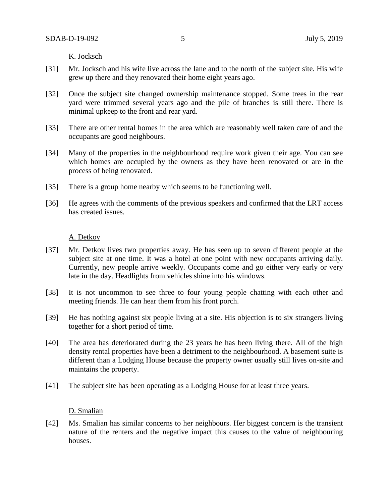K. Jocksch

- [31] Mr. Jocksch and his wife live across the lane and to the north of the subject site. His wife grew up there and they renovated their home eight years ago.
- [32] Once the subject site changed ownership maintenance stopped. Some trees in the rear yard were trimmed several years ago and the pile of branches is still there. There is minimal upkeep to the front and rear yard.
- [33] There are other rental homes in the area which are reasonably well taken care of and the occupants are good neighbours.
- [34] Many of the properties in the neighbourhood require work given their age. You can see which homes are occupied by the owners as they have been renovated or are in the process of being renovated.
- [35] There is a group home nearby which seems to be functioning well.
- [36] He agrees with the comments of the previous speakers and confirmed that the LRT access has created issues.

#### A. Detkov

- [37] Mr. Detkov lives two properties away. He has seen up to seven different people at the subject site at one time. It was a hotel at one point with new occupants arriving daily. Currently, new people arrive weekly. Occupants come and go either very early or very late in the day. Headlights from vehicles shine into his windows.
- [38] It is not uncommon to see three to four young people chatting with each other and meeting friends. He can hear them from his front porch.
- [39] He has nothing against six people living at a site. His objection is to six strangers living together for a short period of time.
- [40] The area has deteriorated during the 23 years he has been living there. All of the high density rental properties have been a detriment to the neighbourhood. A basement suite is different than a Lodging House because the property owner usually still lives on-site and maintains the property.
- [41] The subject site has been operating as a Lodging House for at least three years.

## D. Smalian

[42] Ms. Smalian has similar concerns to her neighbours. Her biggest concern is the transient nature of the renters and the negative impact this causes to the value of neighbouring houses.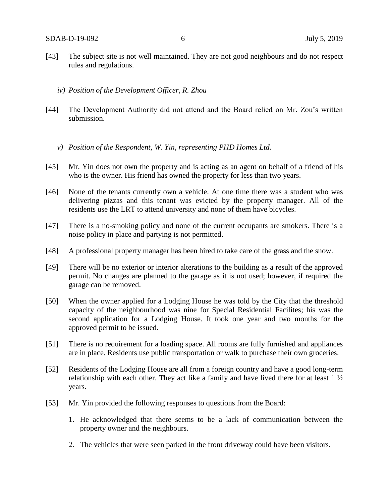- [43] The subject site is not well maintained. They are not good neighbours and do not respect rules and regulations.
	- *iv) Position of the Development Officer, R. Zhou*
- [44] The Development Authority did not attend and the Board relied on Mr. Zou's written submission.
	- *v) Position of the Respondent, W. Yin, representing PHD Homes Ltd.*
- [45] Mr. Yin does not own the property and is acting as an agent on behalf of a friend of his who is the owner. His friend has owned the property for less than two years.
- [46] None of the tenants currently own a vehicle. At one time there was a student who was delivering pizzas and this tenant was evicted by the property manager. All of the residents use the LRT to attend university and none of them have bicycles.
- [47] There is a no-smoking policy and none of the current occupants are smokers. There is a noise policy in place and partying is not permitted.
- [48] A professional property manager has been hired to take care of the grass and the snow.
- [49] There will be no exterior or interior alterations to the building as a result of the approved permit. No changes are planned to the garage as it is not used; however, if required the garage can be removed.
- [50] When the owner applied for a Lodging House he was told by the City that the threshold capacity of the neighbourhood was nine for Special Residential Facilites; his was the second application for a Lodging House. It took one year and two months for the approved permit to be issued.
- [51] There is no requirement for a loading space. All rooms are fully furnished and appliances are in place. Residents use public transportation or walk to purchase their own groceries.
- [52] Residents of the Lodging House are all from a foreign country and have a good long-term relationship with each other. They act like a family and have lived there for at least 1 ½ years.
- [53] Mr. Yin provided the following responses to questions from the Board:
	- 1. He acknowledged that there seems to be a lack of communication between the property owner and the neighbours.
	- 2. The vehicles that were seen parked in the front driveway could have been visitors.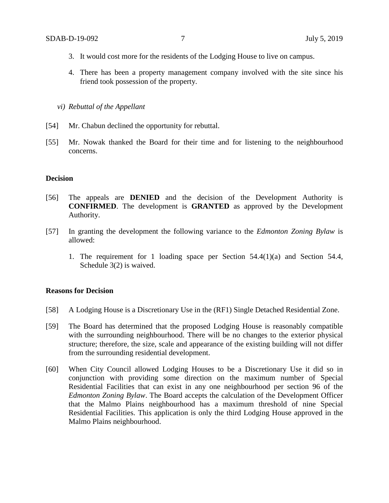- 3. It would cost more for the residents of the Lodging House to live on campus.
- 4. There has been a property management company involved with the site since his friend took possession of the property.

*vi) Rebuttal of the Appellant*

- [54] Mr. Chabun declined the opportunity for rebuttal.
- [55] Mr. Nowak thanked the Board for their time and for listening to the neighbourhood concerns.

## **Decision**

- [56] The appeals are **DENIED** and the decision of the Development Authority is **CONFIRMED**. The development is **GRANTED** as approved by the Development Authority.
- [57] In granting the development the following variance to the *Edmonton Zoning Bylaw* is allowed:
	- 1. The requirement for 1 loading space per Section 54.4(1)(a) and Section 54.4, Schedule 3(2) is waived.

## **Reasons for Decision**

- [58] A Lodging House is a Discretionary Use in the (RF1) Single Detached Residential Zone.
- [59] The Board has determined that the proposed Lodging House is reasonably compatible with the surrounding neighbourhood. There will be no changes to the exterior physical structure; therefore, the size, scale and appearance of the existing building will not differ from the surrounding residential development.
- [60] When City Council allowed Lodging Houses to be a Discretionary Use it did so in conjunction with providing some direction on the maximum number of Special Residential Facilities that can exist in any one neighbourhood per section 96 of the *Edmonton Zoning Bylaw*. The Board accepts the calculation of the Development Officer that the Malmo Plains neighbourhood has a maximum threshold of nine Special Residential Facilities. This application is only the third Lodging House approved in the Malmo Plains neighbourhood.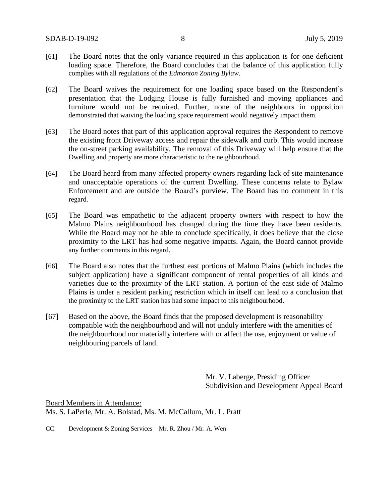- [61] The Board notes that the only variance required in this application is for one deficient loading space. Therefore, the Board concludes that the balance of this application fully complies with all regulations of the *Edmonton Zoning Bylaw*.
- [62] The Board waives the requirement for one loading space based on the Respondent's presentation that the Lodging House is fully furnished and moving appliances and furniture would not be required. Further, none of the neighbours in opposition demonstrated that waiving the loading space requirement would negatively impact them.
- [63] The Board notes that part of this application approval requires the Respondent to remove the existing front Driveway access and repair the sidewalk and curb. This would increase the on-street parking availability. The removal of this Driveway will help ensure that the Dwelling and property are more characteristic to the neighbourhood.
- [64] The Board heard from many affected property owners regarding lack of site maintenance and unacceptable operations of the current Dwelling. These concerns relate to Bylaw Enforcement and are outside the Board's purview. The Board has no comment in this regard.
- [65] The Board was empathetic to the adjacent property owners with respect to how the Malmo Plains neighbourhood has changed during the time they have been residents. While the Board may not be able to conclude specifically, it does believe that the close proximity to the LRT has had some negative impacts. Again, the Board cannot provide any further comments in this regard.
- [66] The Board also notes that the furthest east portions of Malmo Plains (which includes the subject application) have a significant component of rental properties of all kinds and varieties due to the proximity of the LRT station. A portion of the east side of Malmo Plains is under a resident parking restriction which in itself can lead to a conclusion that the proximity to the LRT station has had some impact to this neighbourhood.
- [67] Based on the above, the Board finds that the proposed development is reasonability compatible with the neighbourhood and will not unduly interfere with the amenities of the neighbourhood nor materially interfere with or affect the use, enjoyment or value of neighbouring parcels of land.

Mr. V. Laberge, Presiding Officer Subdivision and Development Appeal Board

Board Members in Attendance: Ms. S. LaPerle, Mr. A. Bolstad, Ms. M. McCallum, Mr. L. Pratt

CC: Development & Zoning Services – Mr. R. Zhou / Mr. A. Wen